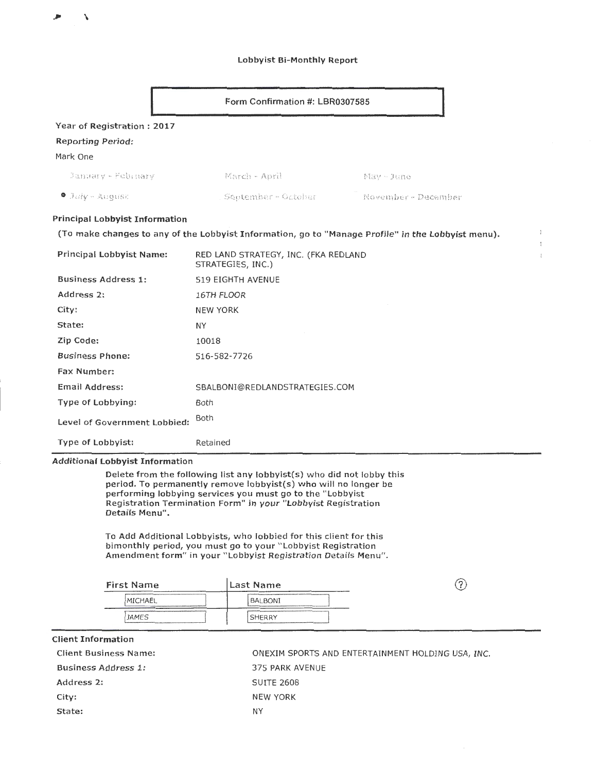|  | Lobbyist Bi-Monthly Report |  |
|--|----------------------------|--|
|--|----------------------------|--|

|                                       | Form Confirmation #: LBR0307585                                                                    |                     |
|---------------------------------------|----------------------------------------------------------------------------------------------------|---------------------|
| Year of Registration: 2017            |                                                                                                    |                     |
| <b>Reporting Period:</b>              |                                                                                                    |                     |
| Mark One                              |                                                                                                    |                     |
| January – February                    | March - April                                                                                      | May - June          |
| $\bullet$ <b>July</b> - August        | September - October                                                                                | November - December |
| <b>Principal Lobbyist Information</b> | (To make changes to any of the Lobbyist Information, go to "Manage Profile" in the Lobbyist menu). |                     |
| Principal Lobbyist Name:              | RED LAND STRATEGY, INC. (FKA REDLAND<br>STRATEGIES, INC.)                                          |                     |
| <b>Business Address 1:</b>            | 519 EIGHTH AVENUE                                                                                  |                     |
| Address 2:                            | 16TH FLOOR                                                                                         |                     |
| City:                                 | <b>NEW YORK</b>                                                                                    |                     |
| State:                                | <b>NY</b>                                                                                          |                     |
| Zip Code:                             | 10018                                                                                              |                     |
| <b>Business Phone:</b>                | 516-582-7726                                                                                       |                     |

 $\frac{1}{2}$  $\ddagger$ 

Fax Number: Email Address: Type of Lobbying: SBALBONI@REDLANDSTRATEGIES.COM Both Level of Government Lobbied: Both

Type of Lobbyist: Retained

\

### Additional Lobbyist Information

Delete from the following list any lobbyist(s) who did not lobby this period. To permanently remove lobbyist(s) who will no longer be performing lobbying services you must go to the "Lobbyist Registration Termination Form" in your "Lobbyist Registration Details Menu".

To Add Additional Lobbyists, who lobbied for this client for this bimonthly period, you must go to your "Lobbyist Registration Amendment form" in your "Lobbyist Registration Details Menu".

| <b>First Name</b>                                                                                                       | Last Name | $\overline{ }$ |
|-------------------------------------------------------------------------------------------------------------------------|-----------|----------------|
| BEARING INFORMATION CONTINUES OF THE CONTINUES OF A REPORT OF THE CONTINUES OF A REPORT OF A CONTINUES OF THE<br>MCHAEL | BALBONI   |                |
| <b>JAMES</b>                                                                                                            | SHERRY    |                |

| <b>Client Information</b>    |                                                   |
|------------------------------|---------------------------------------------------|
| <b>Client Business Name:</b> | ONEXIM SPORTS AND ENTERTAINMENT HOLDING USA, INC. |
| <b>Business Address 1:</b>   | 375 PARK AVENUE                                   |
| Address 2:                   | <b>SUITE 2608</b>                                 |
| City:                        | NEW YORK                                          |
| State:                       | NΥ                                                |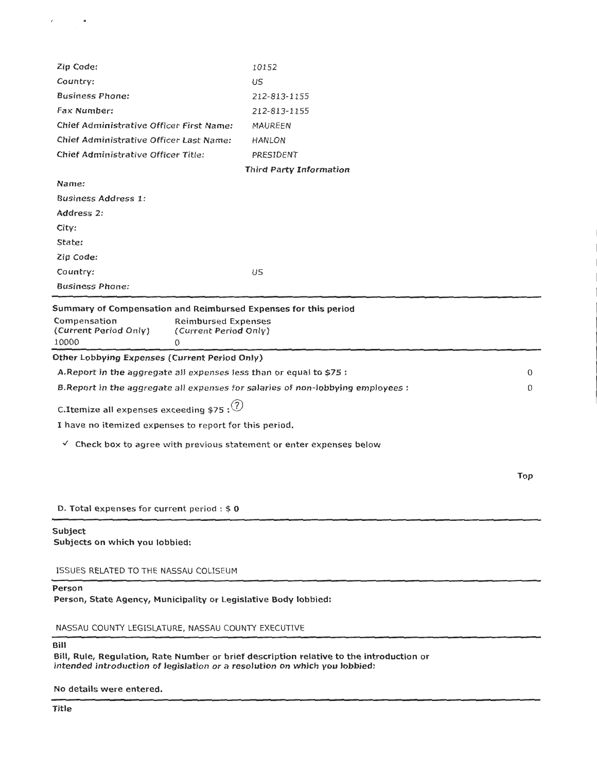| Zip Code:                                                                                                  | 10152                          |     |
|------------------------------------------------------------------------------------------------------------|--------------------------------|-----|
| Country:                                                                                                   | US                             |     |
| <b>Business Phone:</b>                                                                                     | 212-813-1155                   |     |
| Fax Number:                                                                                                | 212-813-1155                   |     |
| Chief Administrative Officer First Name:                                                                   | MAUREEN                        |     |
| Chief Administrative Officer Last Name:                                                                    | HANLON                         |     |
| Chief Administrative Officer Title:                                                                        | PRESIDENT                      |     |
|                                                                                                            | <b>Third Party Information</b> |     |
| Name:                                                                                                      |                                |     |
| <b>Business Address 1:</b>                                                                                 |                                |     |
| Address 2:                                                                                                 |                                |     |
| City:                                                                                                      |                                |     |
| State:                                                                                                     |                                |     |
| Zip Code:                                                                                                  |                                |     |
| Country:                                                                                                   | US                             |     |
| <b>Business Phone:</b>                                                                                     |                                |     |
| Summary of Compensation and Reimbursed Expenses for this period                                            |                                |     |
| Compensation<br><b>Reimbursed Expenses</b><br>(Current Period Only)<br>(Current Period Only)<br>10000<br>0 |                                |     |
| Other Lobbying Expenses (Current Period Only)                                                              |                                |     |
| A. Report in the aggregate all expenses less than or equal to \$75 :                                       |                                | 0   |
| B. Report in the aggregate all expenses for salaries of non-lobbying employees :                           |                                | 0   |
|                                                                                                            |                                |     |
| C.Itemize all expenses exceeding \$75 : $(2)$                                                              |                                |     |
| I have no itemized expenses to report for this period.                                                     |                                |     |
| $\vee$ Check box to agree with previous statement or enter expenses below                                  |                                |     |
|                                                                                                            |                                | Top |
|                                                                                                            |                                |     |
| D. Total expenses for current period : $$0$                                                                |                                |     |
| Subject<br>Subjects on which you lobbied:                                                                  |                                |     |
| ISSUES RELATED TO THE NASSAU COLISEUM                                                                      |                                |     |
| Person<br>Person, State Agency, Municipality or Legislative Body lobbied:                                  |                                |     |

NASSAU COUNTY LEGISLATURE, NASSAU COUNTY EXECUTIVE

Bill

 $\sigma_{\rm{max}}=0.000$ 

Bill, Rule, Regulation, Rate Number or brief description relative to the introduction or intended introduction of legislation or a resolution on which you lobbied:

No details were entered.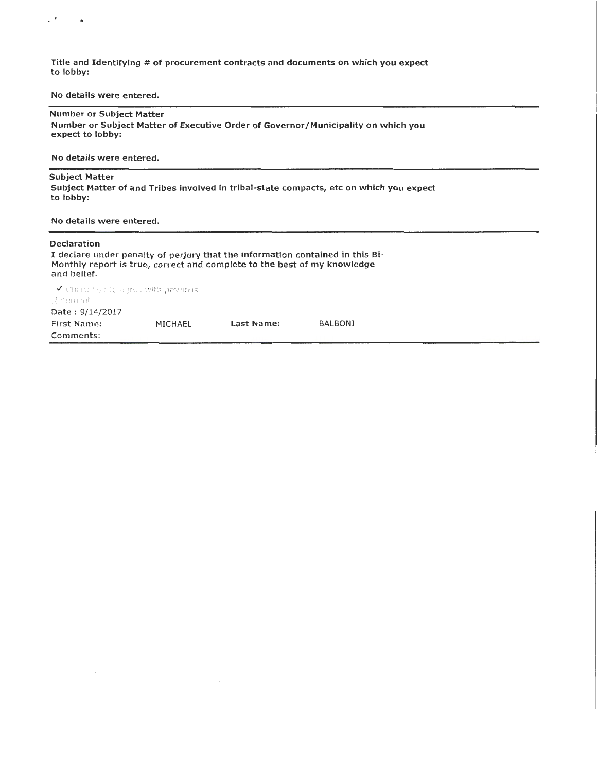Title and Identifying # of procurement contracts and documents on which you expect to lobby:

No details were entered.

# Number or Subject Matter

Number or Subject Matter of Executive Order of Governor /Municipality on which you expect to lobby:

No details were entered.

## Subject Matter

,  $\lambda$  ,  $\lambda$  .

Subject Matter of and Tribes involved in tribal-state compacts, etc on which you expect to lobby:

## No details were entered.

#### Declaration

I declare under penalty of perjury that the information contained in this Bi-Monthly report is true, correct and complete to the best of my knowledge and belief.

 $\mathbf{v}_i$  check how to agree with provious  $s!$ nternent Date: 9/14/2017 First Name: Comments: MICHAEL Last Name: BALBONI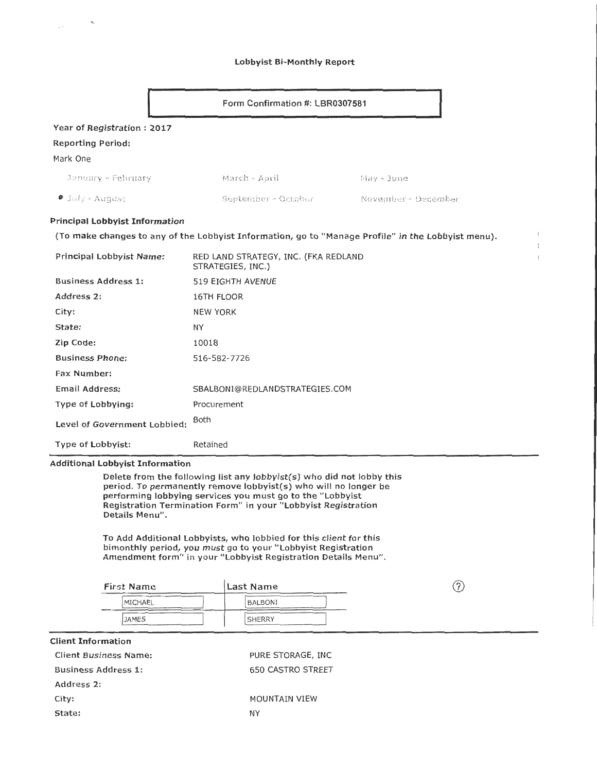## Lobbyist Bi-Monthly Report

 $\gamma$ 

 $\mathbb{Z}^{(2)}$ 

|                                 | Form Confirmation #: LBR0307581                                                                                                                                                                                                                                        |
|---------------------------------|------------------------------------------------------------------------------------------------------------------------------------------------------------------------------------------------------------------------------------------------------------------------|
| Year of Registration: 2017      |                                                                                                                                                                                                                                                                        |
| <b>Reporting Period:</b>        |                                                                                                                                                                                                                                                                        |
| Mark One                        |                                                                                                                                                                                                                                                                        |
| January – February              | March - April<br>May - June                                                                                                                                                                                                                                            |
| $\bullet$ July - August         | September - October<br>— November - December                                                                                                                                                                                                                           |
| Principal Lobbyist Information  |                                                                                                                                                                                                                                                                        |
|                                 | (To make changes to any of the Lobbyist Information, go to "Manage Profile" in the Lobbyist menu).                                                                                                                                                                     |
| Principal Lobbyist Name:        | $\ddot{\phantom{a}}$<br>RED LAND STRATEGY, INC. (FKA REDLAND<br>$\mathbb{I}$<br>STRATEGIES, INC.)                                                                                                                                                                      |
| <b>Business Address 1:</b>      | 519 EIGHTH AVENUE                                                                                                                                                                                                                                                      |
| Address 2:                      | 16TH FLOOR                                                                                                                                                                                                                                                             |
| City:                           | <b>NEW YORK</b>                                                                                                                                                                                                                                                        |
| State:                          | NY.                                                                                                                                                                                                                                                                    |
| Zip Code:                       | 10018                                                                                                                                                                                                                                                                  |
| <b>Business Phone:</b>          | 516-582-7726                                                                                                                                                                                                                                                           |
| Fax Number:                     |                                                                                                                                                                                                                                                                        |
| Email Address:                  | SBALBONI@REDLANDSTRATEGIES.COM                                                                                                                                                                                                                                         |
| Type of Lobbying:               | Procurement                                                                                                                                                                                                                                                            |
| Level of Government Lobbied:    | Both                                                                                                                                                                                                                                                                   |
| Type of Lobbyist:               | Retained                                                                                                                                                                                                                                                               |
| Additional Lobbyist Information |                                                                                                                                                                                                                                                                        |
| Details Menu".                  | Delete from the following list any lobbyist(s) who did not lobby this<br>period. To permanently remove lobbyist(s) who will no longer be<br>performing lobbying services you must go to the "Lobbyist<br>Registration Termination Form" in your "Lobbyist Registration |

To Add Additional Lobbyists, who lobbied for this client for this bimonthly period, you must go to your "Lobbyist Registration Amendment form" in your "Lobbyist Registration Details Menu".

| <b>First Name</b>                               | Last Name |  |
|-------------------------------------------------|-----------|--|
| MICHAEL                                         | BALBONI   |  |
| <b>JAMES</b><br>------------------------------- | SHERRY    |  |
| <b>Client Information</b>                       |           |  |

| <b>Client Business Name:</b> | PURE STORAGE, INC    |
|------------------------------|----------------------|
| <b>Business Address 1:</b>   | 650 CASTRO STREET    |
| Address 2:                   |                      |
| City:                        | <b>MOUNTAIN VIEW</b> |
| State:                       | ΝY                   |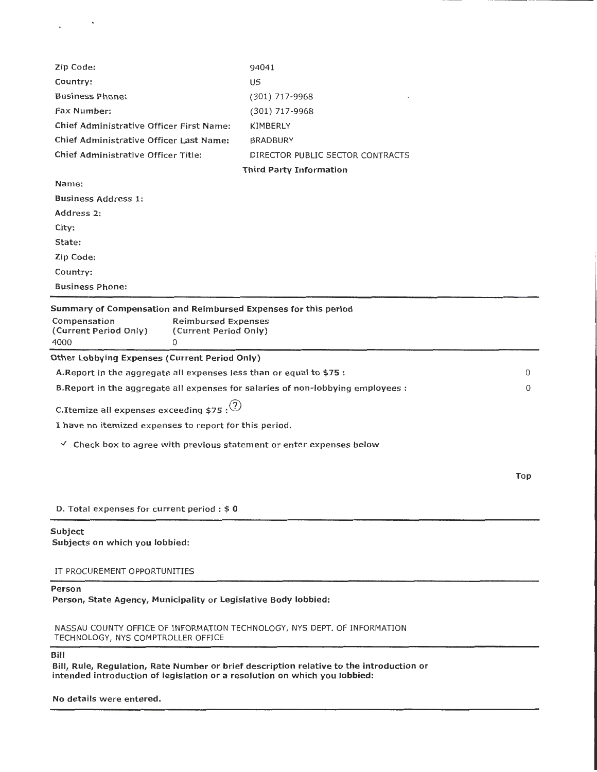| Zip Code:                                                                        | 94041                            |     |
|----------------------------------------------------------------------------------|----------------------------------|-----|
| Country:                                                                         | US.                              |     |
| <b>Business Phone:</b>                                                           | $(301)$ 717-9968                 |     |
| Fax Number:                                                                      | $(301)$ 717-9968                 |     |
| Chief Administrative Officer First Name:                                         | KIMBERLY                         |     |
| Chief Administrative Officer Last Name:                                          | <b>BRADBURY</b>                  |     |
| Chief Administrative Officer Title:                                              | DIRECTOR PUBLIC SECTOR CONTRACTS |     |
|                                                                                  | <b>Third Party Information</b>   |     |
| Name:                                                                            |                                  |     |
| <b>Business Address 1:</b>                                                       |                                  |     |
| Address 2:                                                                       |                                  |     |
| City:                                                                            |                                  |     |
| State:                                                                           |                                  |     |
| Zip Code:                                                                        |                                  |     |
| Country:                                                                         |                                  |     |
| <b>Business Phone:</b>                                                           |                                  |     |
| Summary of Compensation and Reimbursed Expenses for this period                  |                                  |     |
| Compensation<br><b>Reimbursed Expenses</b>                                       |                                  |     |
| (Current Period Only)<br>(Current Period Only)                                   |                                  |     |
| 4000<br>$\Omega$                                                                 |                                  |     |
| Other Lobbying Expenses (Current Period Only)                                    |                                  |     |
| A. Report in the aggregate all expenses less than or equal to \$75 :             |                                  | 0   |
| B. Report in the aggregate all expenses for salaries of non-lobbying employees : |                                  | 0   |
| C. Itemize all expenses exceeding $$75$ : $(?)$                                  |                                  |     |
| I have no itemized expenses to report for this period.                           |                                  |     |
| $\vee$ Check box to agree with previous statement or enter expenses below        |                                  |     |
|                                                                                  |                                  |     |
|                                                                                  |                                  | Top |
|                                                                                  |                                  |     |
| D. Total expenses for current period : \$0                                       |                                  |     |
|                                                                                  |                                  |     |

## Subject Subjects on which you lobbied:

# IT PROCUREMENT OPPORTUNITIES

# Person

Person, State Agency, Municipality or Legislative Body lobbied:

NASSAU COUNTY OFFICE OF INFORMATION TECHNOLOGY, NYS DEPT. OF INFORMATION TECHNOLOGY, NYS COMPTROLLER OFFICE

Bill

Bill, Rule, Regulation, Rate Number or brief description relative to the introduction or intended introduction of legislation or a resolution on which you lobbied:

No details were entered.